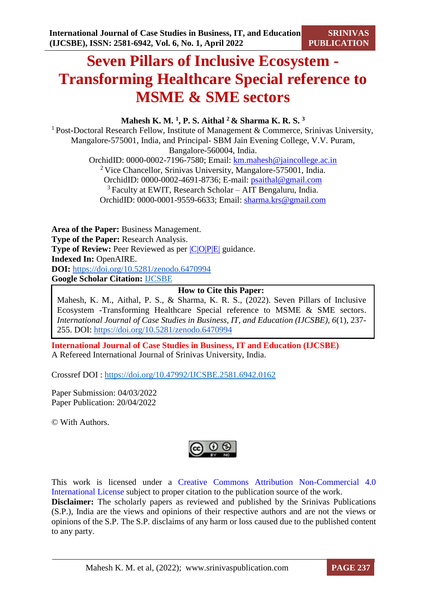# **Seven Pillars of Inclusive Ecosystem - Transforming Healthcare Special reference to MSME & SME sectors**

# **Mahesh K. M. <sup>1</sup> , P. S. Aithal <sup>2</sup>& Sharma K. R. S. <sup>3</sup>**

<sup>1</sup> Post-Doctoral Research Fellow, Institute of Management & Commerce, Srinivas University, Mangalore-575001, India, and Principal- SBM Jain Evening College, V.V. Puram, Bangalore-560004, India. OrchidID: 0000-0002-7196-7580; Email: [km.mahesh@jaincollege.ac.in](mailto:km.mahesh@jaincollege.ac.in) <sup>2</sup> Vice Chancellor, Srinivas University, Mangalore-575001, India. OrchidID: 0000-0002-4691-8736; E-mail: [psaithal@gmail.com](mailto:psaithal@gmail.com) <sup>3</sup>Faculty at EWIT, Research Scholar – AIT Bengaluru, India. OrchidID: 0000-0001-9559-6633; Email: [sharma.krs@gmail.com](mailto:sharma.krs@gmail.com)

**Area of the Paper:** Business Management. **Type of the Paper:** Research Analysis. **Type of Review:** Peer Reviewed as per  $|C|O||P||E|$  guidance. **Indexed In:** OpenAIRE. **DOI:** <https://doi.org/10.5281/zenodo.6470994> **Google Scholar Citation:** [IJCSBE](https://scholar.google.com/citations?user=yGYPA1MAAAAJ)

# **How to Cite this Paper:**

Mahesh, K. M., Aithal, P. S., & Sharma, K. R. S., (2022). Seven Pillars of Inclusive Ecosystem -Transforming Healthcare Special reference to MSME & SME sectors. *International Journal of Case Studies in Business, IT, and Education (IJCSBE), 6*(1), 237- 255. DOI: <https://doi.org/10.5281/zenodo.6470994>

**International Journal of Case Studies in Business, IT and Education (IJCSBE)** A Refereed International Journal of Srinivas University, India.

Crossref DOI : [https://doi.org/10.47992/IJCSBE.2581.6942.0162](https://search.crossref.org/?q=10.47992%2FIJCSBE.2581.6942.0162&from_ui=yes)

Paper Submission: 04/03/2022 Paper Publication: 20/04/2022

© With Authors.



This work is licensed under a Creative Commons Attribution Non-Commercial 4.0 International License subject to proper citation to the publication source of the work. **Disclaimer:** The scholarly papers as reviewed and published by the Srinivas Publications (S.P.), India are the views and opinions of their respective authors and are not the views or opinions of the S.P. The S.P. disclaims of any harm or loss caused due to the published content to any party.

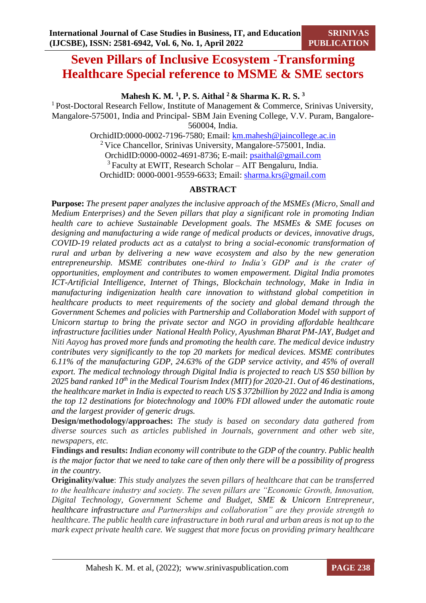**Mahesh K. M. <sup>1</sup> , P. S. Aithal <sup>2</sup>& Sharma K. R. S. <sup>3</sup>**

<sup>1</sup> Post-Doctoral Research Fellow, Institute of Management & Commerce, Srinivas University, Mangalore-575001, India and Principal- SBM Jain Evening College, V.V. Puram, Bangalore-560004, India.

> OrchidID:0000-0002-7196-7580; Email: [km.mahesh@jaincollege.ac.in](mailto:km.mahesh@jaincollege.ac.in) <sup>2</sup> Vice Chancellor, Srinivas University, Mangalore-575001, India. OrchidID:0000-0002-4691-8736; E-mail: [psaithal@gmail.com](mailto:psaithal@gmail.com) <sup>3</sup>Faculty at EWIT, Research Scholar – AIT Bengaluru, India. OrchidID: 0000-0001-9559-6633; Email: [sharma.krs@gmail.com](mailto:sharma.krs@gmail.com)

# **ABSTRACT**

**Purpose:** *The present paper analyzes the inclusive approach of the MSMEs (Micro, Small and Medium Enterprises) and the Seven pillars that play a significant role in promoting Indian health care to achieve Sustainable Development goals. The MSMEs & SME focuses on designing and manufacturing a wide range of medical products or devices, innovative drugs, COVID-19 related products act as a catalyst to bring a social-economic transformation of rural and urban by delivering a new wave ecosystem and also by the new generation entrepreneurship. MSME contributes one-third to India's GDP and is the crater of opportunities, employment and contributes to women empowerment. Digital India promotes ICT-Artificial Intelligence, Internet of Things, Blockchain technology, Make in India in manufacturing indigenization health care innovation to withstand global competition in healthcare products to meet requirements of the society and global demand through the Government Schemes and policies with Partnership and Collaboration Model with support of Unicorn startup to bring the private sector and NGO in providing affordable healthcare infrastructure facilities under National Health Policy, Ayushman Bharat PM-JAY, Budget and Niti Aayog has proved more funds and promoting the health care. The medical device industry contributes very significantly to the top 20 markets for medical devices. MSME contributes 6.11% of the manufacturing GDP, 24.63% of the GDP service activity, and 45% of overall export. The medical technology through Digital India is projected to reach US \$50 billion by 2025 band ranked 10th in the Medical Tourism Index (MIT) for 2020-21. Out of 46 destinations, the healthcare market in India is expected to reach US \$ 372billion by 2022 and India is among the top 12 destinations for biotechnology and 100% FDI allowed under the automatic route and the largest provider of generic drugs.* 

**Design/methodology/approaches:** *The study is based on secondary data gathered from diverse sources such as articles published in Journals, government and other web site, newspapers, etc.* 

**Findings and results:** *Indian economy will contribute to the GDP of the country. Public health is the major factor that we need to take care of then only there will be a possibility of progress in the country.* 

**Originality/value**: *This study analyzes the seven pillars of healthcare that can be transferred to the healthcare industry and society. The seven pillars are "Economic Growth, Innovation, Digital Technology, Government Scheme and Budget, SME & Unicorn Entrepreneur, healthcare infrastructure and Partnerships and collaboration" are they provide strength to healthcare. The public health care infrastructure in both rural and urban areas is not up to the mark expect private health care. We suggest that more focus on providing primary healthcare* 



**SRINIVAS**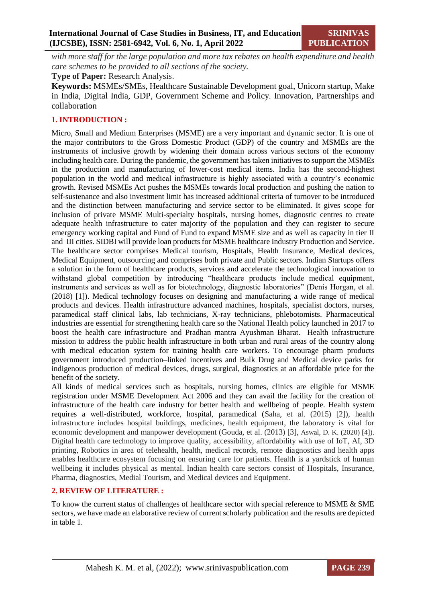*with more staff for the large population and more tax rebates on health expenditure and health care schemes to be provided to all sections of the society.*

**Type of Paper:** Research Analysis.

**Keywords:** MSMEs/SMEs, Healthcare Sustainable Development goal, Unicorn startup, Make in India, Digital India, GDP, Government Scheme and Policy. Innovation, Partnerships and collaboration

# **1. INTRODUCTION :**

Micro, Small and Medium Enterprises (MSME) are a very important and dynamic sector. It is one of the major contributors to the Gross Domestic Product (GDP) of the country and MSMEs are the instruments of inclusive growth by widening their domain across various sectors of the economy including health care. During the pandemic, the government has taken initiatives to support the MSMEs in the production and manufacturing of lower-cost medical items. India has the second-highest population in the world and medical infrastructure is highly associated with a country's economic growth. Revised MSMEs Act pushes the MSMEs towards local production and pushing the nation to self-sustenance and also investment limit has increased additional criteria of turnover to be introduced and the distinction between manufacturing and service sector to be eliminated. It gives scope for inclusion of private MSME Multi-specialty hospitals, nursing homes, diagnostic centres to create adequate health infrastructure to cater majority of the population and they can register to secure emergency working capital and Fund of Fund to expand MSME size and as well as capacity in tier II and III cities. SIDBI will provide loan products for MSME healthcare Industry Production and Service. The healthcare sector comprises Medical tourism, Hospitals, Health Insurance, Medical devices, Medical Equipment, outsourcing and comprises both private and Public sectors. Indian Startups offers a solution in the form of healthcare products, services and accelerate the technological innovation to withstand global competition by introducing "healthcare products include medical equipment, instruments and services as well as for biotechnology, diagnostic laboratories" (Denis Horgan, et al. (2018) [1]). Medical technology focuses on designing and manufacturing a wide range of medical products and devices. Health infrastructure advanced machines, hospitals, specialist doctors, nurses, paramedical staff clinical labs, lab technicians, X-ray technicians, phlebotomists. Pharmaceutical industries are essential for strengthening health care so the National Health policy launched in 2017 to boost the health care infrastructure and Pradhan mantra Ayushman Bharat. Health infrastructure mission to address the public health infrastructure in both urban and rural areas of the country along with medical education system for training health care workers. To encourage pharm products government introduced production–linked incentives and Bulk Drug and Medical device parks for indigenous production of medical devices, drugs, surgical, diagnostics at an affordable price for the benefit of the society.

All kinds of medical services such as hospitals, nursing homes, clinics are eligible for MSME registration under MSME Development Act 2006 and they can avail the facility for the creation of infrastructure of the health care industry for better health and wellbeing of people. Health system requires a well-distributed, workforce, hospital, paramedical (Saha, et al. (2015) [2]), health infrastructure includes hospital buildings, medicines, health equipment, the laboratory is vital for economic development and manpower development (Gouda, et al. (2013) [3], Aswal, D. K. (2020) [4]). Digital health care technology to improve quality, accessibility, affordability with use of IoT, AI, 3D printing, Robotics in area of telehealth, health, medical records, remote diagnostics and health apps enables healthcare ecosystem focusing on ensuring care for patients. Health is a yardstick of human wellbeing it includes physical as mental. Indian health care sectors consist of Hospitals, Insurance, Pharma, diagnostics, Medial Tourism, and Medical devices and Equipment.

# **2. REVIEW OF LITERATURE :**

To know the current status of challenges of healthcare sector with special reference to MSME & SME sectors, we have made an elaborative review of current scholarly publication and the results are depicted in table 1.

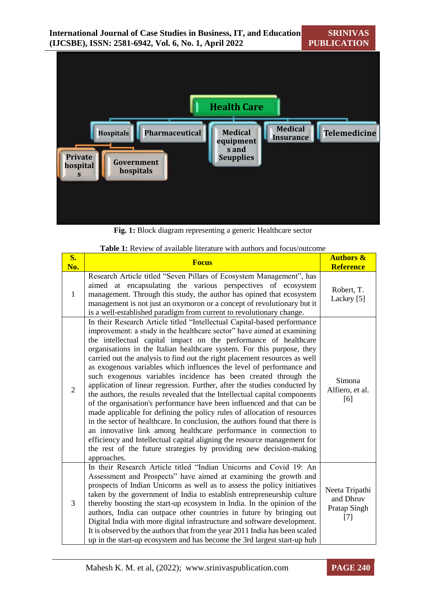

**Fig. 1:** Block diagram representing a generic Healthcare sector

| S <sub>o</sub><br>No. | <b>Focus</b>                                                                                                                                                                                                                                                                                                                                                                                                                                                                                                                                                                                                                                                                                                                                                                                                                                                                                                                                                                                                                                                                                                                                                   | <b>Authors &amp;</b><br><b>Reference</b>           |
|-----------------------|----------------------------------------------------------------------------------------------------------------------------------------------------------------------------------------------------------------------------------------------------------------------------------------------------------------------------------------------------------------------------------------------------------------------------------------------------------------------------------------------------------------------------------------------------------------------------------------------------------------------------------------------------------------------------------------------------------------------------------------------------------------------------------------------------------------------------------------------------------------------------------------------------------------------------------------------------------------------------------------------------------------------------------------------------------------------------------------------------------------------------------------------------------------|----------------------------------------------------|
| 1                     | Research Article titled "Seven Pillars of Ecosystem Management", has<br>aimed at encapsulating the various perspectives of ecosystem<br>management. Through this study, the author has opined that ecosystem<br>management is not just an oxymoron or a concept of revolutionary but it<br>is a well-established paradigm from current to revolutionary change.                                                                                                                                                                                                                                                                                                                                                                                                                                                                                                                                                                                                                                                                                                                                                                                                | Robert, T.<br>Lackey [5]                           |
| $\overline{2}$        | In their Research Article titled "Intellectual Capital-based performance<br>improvement: a study in the healthcare sector" have aimed at examining<br>the intellectual capital impact on the performance of healthcare<br>organisations in the Italian healthcare system. For this purpose, they<br>carried out the analysis to find out the right placement resources as well<br>as exogenous variables which influences the level of performance and<br>such exogenous variables incidence has been created through the<br>application of linear regression. Further, after the studies conducted by<br>the authors, the results revealed that the Intellectual capital components<br>of the organisation's performance have been influenced and that can be<br>made applicable for defining the policy rules of allocation of resources<br>in the sector of healthcare. In conclusion, the authors found that there is<br>an innovative link among healthcare performance in connection to<br>efficiency and Intellectual capital aligning the resource management for<br>the rest of the future strategies by providing new decision-making<br>approaches. | Simona<br>Alfiero, et al.<br>[6]                   |
| 3                     | In their Research Article titled "Indian Unicorns and Covid 19: An<br>Assessment and Prospects" have aimed at examining the growth and<br>prospects of Indian Unicorns as well as to assess the policy initiatives<br>taken by the government of India to establish entrepreneurship culture<br>thereby boosting the start-up ecosystem in India. In the opinion of the<br>authors, India can outpace other countries in future by bringing out<br>Digital India with more digital infrastructure and software development.<br>It is observed by the authors that from the year 2011 India has been scaled<br>up in the start-up ecosystem and has become the 3rd largest start-up hub                                                                                                                                                                                                                                                                                                                                                                                                                                                                         | Neeta Tripathi<br>and Dhruv<br>Pratap Singh<br>[7] |

**Table 1:** Review of available literature with authors and focus/outcome

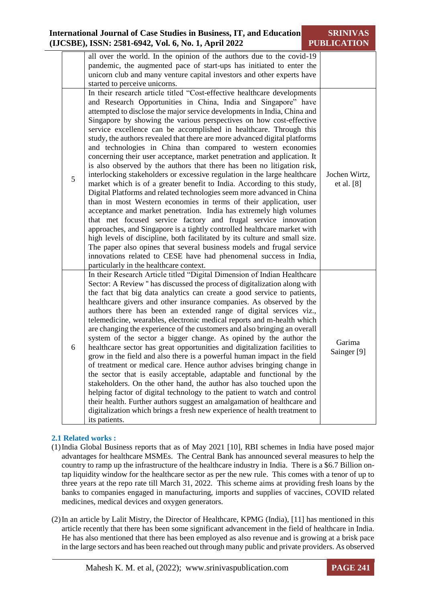**SRINIVAS PUBLICATION**

|   | all over the world. In the opinion of the authors due to the covid-19<br>pandemic, the augmented pace of start-ups has initiated to enter the<br>unicorn club and many venture capital investors and other experts have<br>started to perceive unicorns.                                                                                                                                                                                                                                                                                                                                                                                                                                                                                                                                                                                                                                                                                                                                                                                                                                                                                                                                                                                                                                                                                                                                                                                                                     |                             |
|---|------------------------------------------------------------------------------------------------------------------------------------------------------------------------------------------------------------------------------------------------------------------------------------------------------------------------------------------------------------------------------------------------------------------------------------------------------------------------------------------------------------------------------------------------------------------------------------------------------------------------------------------------------------------------------------------------------------------------------------------------------------------------------------------------------------------------------------------------------------------------------------------------------------------------------------------------------------------------------------------------------------------------------------------------------------------------------------------------------------------------------------------------------------------------------------------------------------------------------------------------------------------------------------------------------------------------------------------------------------------------------------------------------------------------------------------------------------------------------|-----------------------------|
| 5 | In their research article titled "Cost-effective healthcare developments<br>and Research Opportunities in China, India and Singapore" have<br>attempted to disclose the major service developments in India, China and<br>Singapore by showing the various perspectives on how cost-effective<br>service excellence can be accomplished in healthcare. Through this<br>study, the authors revealed that there are more advanced digital platforms<br>and technologies in China than compared to western economies<br>concerning their user acceptance, market penetration and application. It<br>is also observed by the authors that there has been no litigation risk,<br>interlocking stakeholders or excessive regulation in the large healthcare<br>market which is of a greater benefit to India. According to this study,<br>Digital Platforms and related technologies seem more advanced in China<br>than in most Western economies in terms of their application, user<br>acceptance and market penetration. India has extremely high volumes<br>that met focused service factory and frugal service innovation<br>approaches, and Singapore is a tightly controlled healthcare market with<br>high levels of discipline, both facilitated by its culture and small size.<br>The paper also opines that several business models and frugal service<br>innovations related to CESE have had phenomenal success in India,<br>particularly in the healthcare context. | Jochen Wirtz,<br>et al. [8] |
| 6 | In their Research Article titled "Digital Dimension of Indian Healthcare<br>Sector: A Review " has discussed the process of digitalization along with<br>the fact that big data analytics can create a good service to patients,<br>healthcare givers and other insurance companies. As observed by the<br>authors there has been an extended range of digital services viz.,<br>telemedicine, wearables, electronic medical reports and m-health which<br>are changing the experience of the customers and also bringing an overall<br>system of the sector a bigger change. As opined by the author the<br>healthcare sector has great opportunities and digitalization facilities to<br>grow in the field and also there is a powerful human impact in the field<br>of treatment or medical care. Hence author advises bringing change in<br>the sector that is easily acceptable, adaptable and functional by the<br>stakeholders. On the other hand, the author has also touched upon the<br>helping factor of digital technology to the patient to watch and control<br>their health. Further authors suggest an amalgamation of healthcare and<br>digitalization which brings a fresh new experience of health treatment to<br>its patients.                                                                                                                                                                                                                          | Garima<br>Sainger [9]       |

# **2.1 Related works :**

- (1)India Global Business reports that as of May 2021 [10], RBI schemes in India have posed major advantages for healthcare MSMEs. The Central Bank has announced several measures to help the country to ramp up the infrastructure of the healthcare industry in India. There is a \$6.7 Billion ontap liquidity window for the healthcare sector as per the new rule. This comes with a tenor of up to three years at the repo rate till March 31, 2022. This scheme aims at providing fresh loans by the banks to companies engaged in manufacturing, imports and supplies of vaccines, COVID related medicines, medical devices and oxygen generators.
- (2)In an article by Lalit Mistry, the Director of Healthcare, KPMG (India), [11] has mentioned in this article recently that there has been some significant advancement in the field of healthcare in India. He has also mentioned that there has been employed as also revenue and is growing at a brisk pace in the large sectors and has been reached out through many public and private providers. As observed

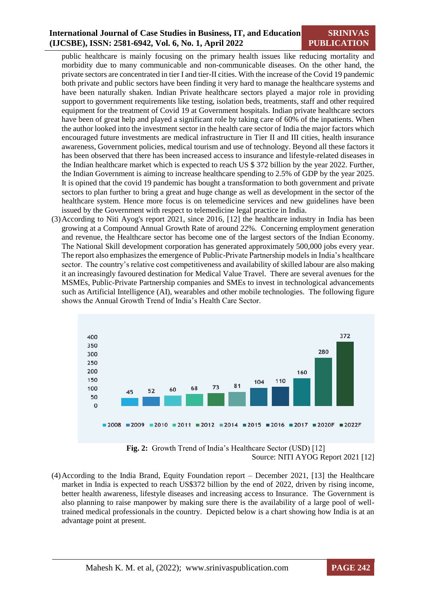# **International Journal of Case Studies in Business, IT, and Education (IJCSBE), ISSN: 2581-6942, Vol. 6, No. 1, April 2022**

# **SRINIVAS PUBLICATION**

public healthcare is mainly focusing on the primary health issues like reducing mortality and morbidity due to many communicable and non-communicable diseases. On the other hand, the private sectors are concentrated in tier I and tier-II cities. With the increase of the Covid 19 pandemic both private and public sectors have been finding it very hard to manage the healthcare systems and have been naturally shaken. Indian Private healthcare sectors played a major role in providing support to government requirements like testing, isolation beds, treatments, staff and other required equipment for the treatment of Covid 19 at Government hospitals. Indian private healthcare sectors have been of great help and played a significant role by taking care of 60% of the inpatients. When the author looked into the investment sector in the health care sector of India the major factors which encouraged future investments are medical infrastructure in Tier II and III cities, health insurance awareness, Government policies, medical tourism and use of technology. Beyond all these factors it has been observed that there has been increased access to insurance and lifestyle-related diseases in the Indian healthcare market which is expected to reach US \$ 372 billion by the year 2022. Further, the Indian Government is aiming to increase healthcare spending to 2.5% of GDP by the year 2025. It is opined that the covid 19 pandemic has bought a transformation to both government and private sectors to plan further to bring a great and huge change as well as development in the sector of the healthcare system. Hence more focus is on telemedicine services and new guidelines have been issued by the Government with respect to telemedicine legal practice in India.

(3)According to Niti Ayog's report 2021, since 2016, [12] the healthcare industry in India has been growing at a Compound Annual Growth Rate of around 22%. Concerning employment generation and revenue, the Healthcare sector has become one of the largest sectors of the Indian Economy. The National Skill development corporation has generated approximately 500,000 jobs every year. The report also emphasizes the emergence of Public-Private Partnership models in India's healthcare sector. The country's relative cost competitiveness and availability of skilled labour are also making it an increasingly favoured destination for Medical Value Travel. There are several avenues for the MSMEs, Public-Private Partnership companies and SMEs to invest in technological advancements such as Artificial Intelligence (AI), wearables and other mobile technologies. The following figure shows the Annual Growth Trend of India's Health Care Sector.



**Fig. 2:** Growth Trend of India's Healthcare Sector (USD) [12] Source: NITI AYOG Report 2021 [12]

(4)According to the India Brand, Equity Foundation report – December 2021, [13] the Healthcare market in India is expected to reach US\$372 billion by the end of 2022, driven by rising income, better health awareness, lifestyle diseases and increasing access to Insurance. The Government is also planning to raise manpower by making sure there is the availability of a large pool of welltrained medical professionals in the country. Depicted below is a chart showing how India is at an advantage point at present.

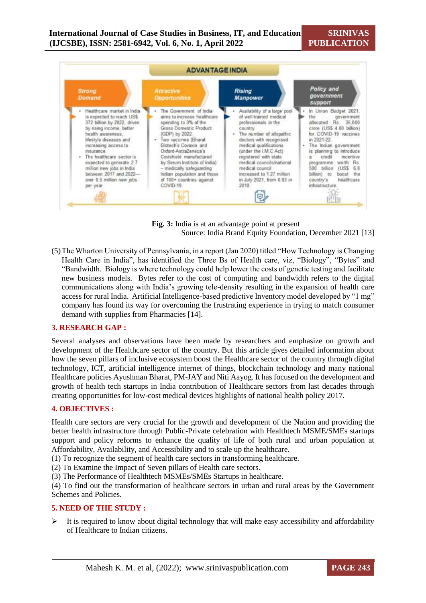

**Fig. 3:** India is at an advantage point at present Source: India Brand Equity Foundation, December 2021 [13]

(5)The Wharton University of Pennsylvania, in a report (Jan 2020) titled "How Technology is Changing Health Care in India", has identified the Three Bs of Health care, viz, "Biology", "Bytes" and "Bandwidth. Biology is where technology could help lower the costs of genetic testing and facilitate new business models. Bytes refer to the cost of computing and bandwidth refers to the digital communications along with India's growing tele-density resulting in the expansion of health care access for rural India. Artificial Intelligence-based predictive Inventory model developed by "1 mg" company has found its way for overcoming the frustrating experience in trying to match consumer demand with supplies from Pharmacies [14].

#### **3. RESEARCH GAP :**

Several analyses and observations have been made by researchers and emphasize on growth and development of the Healthcare sector of the country. But this article gives detailed information about how the seven pillars of inclusive ecosystem boost the Healthcare sector of the country through digital technology, ICT, artificial intelligence internet of things, blockchain technology and many national Healthcare policies Ayushman Bharat, PM-JAY and Niti Aayog. It has focused on the development and growth of health tech startups in India contribution of Healthcare sectors from last decades through creating opportunities for low-cost medical devices highlights of national health policy 2017.

#### **4. OBJECTIVES :**

Health care sectors are very crucial for the growth and development of the Nation and providing the better health infrastructure through Public-Private celebration with Healthtech MSME/SMEs startups support and policy reforms to enhance the quality of life of both rural and urban population at Affordability, Availability, and Accessibility and to scale up the healthcare.

(1) To recognize the segment of health care sectors in transforming healthcare.

(2) To Examine the Impact of Seven pillars of Health care sectors.

(3) The Performance of Healthtech MSMEs/SMEs Startups in healthcare.

(4) To find out the transformation of healthcare sectors in urban and rural areas by the Government Schemes and Policies.

#### **5. NEED OF THE STUDY :**

 $\triangleright$  It is required to know about digital technology that will make easy accessibility and affordability of Healthcare to Indian citizens.

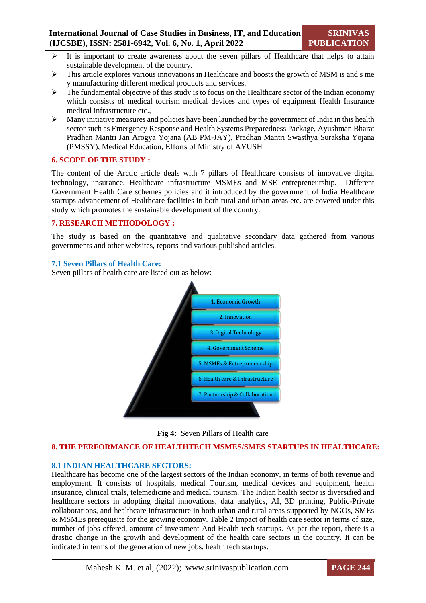- $\triangleright$  It is important to create awareness about the seven pillars of Healthcare that helps to attain sustainable development of the country.
- $\triangleright$  This article explores various innovations in Healthcare and boosts the growth of MSM is and s me y manufacturing different medical products and services.
- $\triangleright$  The fundamental objective of this study is to focus on the Healthcare sector of the Indian economy which consists of medical tourism medical devices and types of equipment Health Insurance medical infrastructure etc.,
- $\triangleright$  Many initiative measures and policies have been launched by the government of India in this health sector such as Emergency Response and Health Systems Preparedness Package, Ayushman Bharat Pradhan Mantri Jan Arogya Yojana (AB PM-JAY), Pradhan Mantri Swasthya Suraksha Yojana (PMSSY), Medical Education, Efforts of Ministry of AYUSH

#### **6. SCOPE OF THE STUDY :**

The content of the Arctic article deals with 7 pillars of Healthcare consists of innovative digital technology, insurance, Healthcare infrastructure MSMEs and MSE entrepreneurship. Different Government Health Care schemes policies and it introduced by the government of India Healthcare startups advancement of Healthcare facilities in both rural and urban areas etc. are covered under this study which promotes the sustainable development of the country.

#### **7. RESEARCH METHODOLOGY :**

The study is based on the quantitative and qualitative secondary data gathered from various governments and other websites, reports and various published articles.

#### **7.1 Seven Pillars of Health Care:**

Seven pillars of health care are listed out as below:





#### **8. THE PERFORMANCE OF HEALTHTECH MSMES/SMES STARTUPS IN HEALTHCARE:**

#### **8.1 INDIAN HEALTHCARE SECTORS:**

Healthcare has become one of the largest sectors of the Indian economy, in terms of both revenue and employment. It consists of hospitals, medical Tourism, medical devices and equipment, health insurance, clinical trials, telemedicine and medical tourism. The Indian health sector is diversified and healthcare sectors in adopting digital innovations, data analytics, AI, 3D printing, Public-Private collaborations, and healthcare infrastructure in both urban and rural areas supported by NGOs, SMEs & MSMEs prerequisite for the growing economy. Table 2 Impact of health care sector in terms of size, number of jobs offered, amount of investment And Health tech startups. As per the report, there is a drastic change in the growth and development of the health care sectors in the country. It can be indicated in terms of the generation of new jobs, health tech startups.

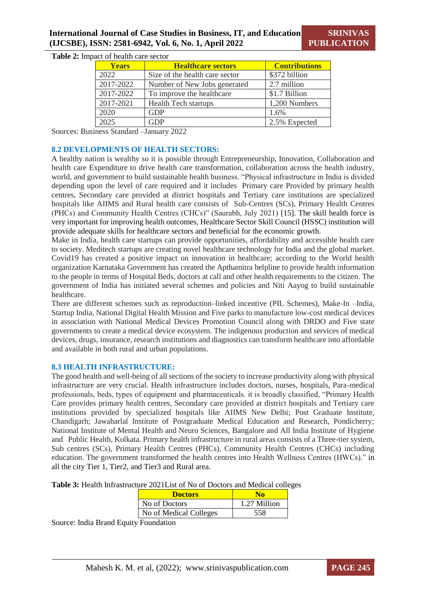**SRINIVAS PUBLICATION**

| <b>Years</b> | <b>Healthcare sectors</b>      |               |
|--------------|--------------------------------|---------------|
| 2022         | Size of the health care sector | \$372 billion |
| 2017-2022    | Number of New Jobs generated   | 2.7 million   |
| 2017-2022    | To improve the healthcare      | \$1.7 Billion |
| 2017-2021    | <b>Health Tech startups</b>    | 1,200 Numbers |
| 2020         | <b>GDP</b>                     | 1.6%          |
| 2025         | GDP                            | 2.5% Expected |

**Table 2:** Impact of health care sector

Sources: Business Standard –January 2022

#### **8.2 DEVELOPMENTS OF HEALTH SECTORS:**

A healthy nation is wealthy so it is possible through Entrepreneurship, Innovation, Collaboration and health care Expenditure to drive health care transformation, collaboration across the health industry, world, and government to build sustainable health business. "Physical infrastructure in India is divided depending upon the level of care required and it includes Primary care Provided by primary health centres, Secondary care provided at district hospitals and Tertiary care institutions are specialized hospitals like AIIMS and Rural health care consists of Sub-Centres (SCs), Primary Health Centres (PHCs) and Community Health Centres (CHCs)" (Saurabh, July 2021) [15]. The skill health force is very important for improving health outcomes, Healthcare Sector Skill Council (HSSC) institution will provide adequate skills for healthcare sectors and beneficial for the economic growth.

Make in India, health care startups can provide opportunities, affordability and accessible health care to society. Meditech startups are creating novel healthcare technology for India and the global market. Covid19 has created a positive impact on innovation in healthcare; according to the World health organization Karnataka Government has created the Apthamitra helpline to provide health information to the people in terms of Hospital Beds, doctors at call and other health requirements to the citizen. The government of India has initiated several schemes and policies and Niti Aayog to build sustainable healthcare.

There are different schemes such as reproduction–linked incentive (PIL Schemes), Make-In –India, Startup India, National Digital Health Mission and Five parks to manufacture low-cost medical devices in association with National Medical Devices Promotion Council along with DRDO and Five state governments to create a medical device ecosystem. The indigenous production and services of medical devices, drugs, insurance, research institutions and diagnostics can transform healthcare into affordable and available in both rural and urban populations.

#### **8.3 HEALTH INFRASTRUCTURE:**

The good health and well-being of all sections of the society to increase productivity along with physical infrastructure are very crucial. Health infrastructure includes doctors, nurses, hospitals, Para-medical professionals, beds, types of equipment and pharmaceuticals. it is broadly classified, "Primary Health Care provides primary health centres, Secondary care provided at district hospitals and Tertiary care institutions provided by specialized hospitals like AIIMS New Delhi; Post Graduate Institute, Chandigarh; Jawaharlal Institute of Postgraduate Medical Education and Research, Pondicherry; National Institute of Mental Health and Neuro Sciences, Bangalore and All India Institute of Hygiene and Public Health, Kolkata. Primary health infrastructure in rural areas consists of a Three-tier system, Sub centres (SCs), Primary Health Centres (PHCs), Community Health Centres (CHCs) including education. The government transformed the health centres into Health Wellness Centres (HWCs)." in all the city Tier 1, Tier2, and Tier3 and Rural area.

**Table 3:** Health Infrastructure 2021List of No of Doctors and Medical colleges

| <b>Doctors</b>         | Nω           |
|------------------------|--------------|
| No of Doctors          | 1.27 Million |
| No of Medical Colleges | 558          |

Source: India Brand Equity Foundation

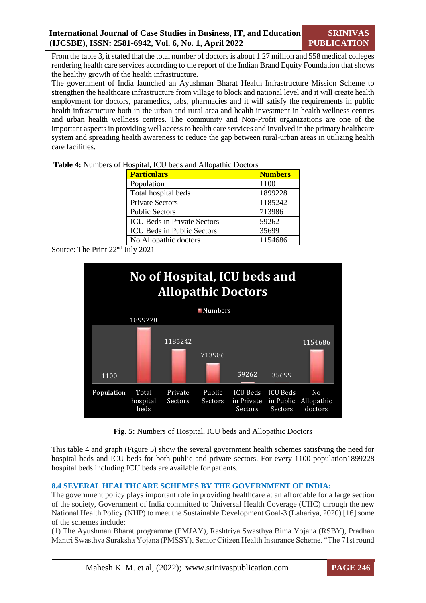From the table 3, it stated that the total number of doctors is about 1.27 million and 558 medical colleges rendering health care services according to the report of the Indian Brand Equity Foundation that shows the healthy growth of the health infrastructure.

The government of India launched an Ayushman Bharat Health Infrastructure Mission Scheme to strengthen the healthcare infrastructure from village to block and national level and it will create health employment for doctors, paramedics, labs, pharmacies and it will satisfy the requirements in public health infrastructure both in the urban and rural area and health investment in health wellness centres and urban health wellness centres. The community and Non-Profit organizations are one of the important aspects in providing well access to health care services and involved in the primary healthcare system and spreading health awareness to reduce the gap between rural-urban areas in utilizing health care facilities.

| <b>Particulars</b>                 | <b>Numbers</b> |
|------------------------------------|----------------|
| Population                         | 1100           |
| Total hospital beds                | 1899228        |
| <b>Private Sectors</b>             | 1185242        |
| <b>Public Sectors</b>              | 713986         |
| <b>ICU Beds in Private Sectors</b> | 59262          |
| <b>ICU Beds in Public Sectors</b>  | 35699          |
| No Allopathic doctors              | 1154686        |

**Table 4:** Numbers of Hospital, ICU beds and Allopathic Doctors

Source: The Print 22nd July 2021



**Fig. 5:** Numbers of Hospital, ICU beds and Allopathic Doctors

This table 4 and graph (Figure 5) show the several government health schemes satisfying the need for hospital beds and ICU beds for both public and private sectors. For every 1100 population1899228 hospital beds including ICU beds are available for patients.

# **8.4 SEVERAL HEALTHCARE SCHEMES BY THE GOVERNMENT OF INDIA:**

The government policy plays important role in providing healthcare at an affordable for a large section of the society, Government of India committed to Universal Health Coverage (UHC) through the new National Health Policy (NHP) to meet the Sustainable Development Goal-3 (Lahariya, 2020) [16] some of the schemes include:

(1) The Ayushman Bharat programme (PMJAY), Rashtriya Swasthya Bima Yojana (RSBY), Pradhan Mantri Swasthya Suraksha Yojana (PMSSY), Senior Citizen Health Insurance Scheme. "The 71st round

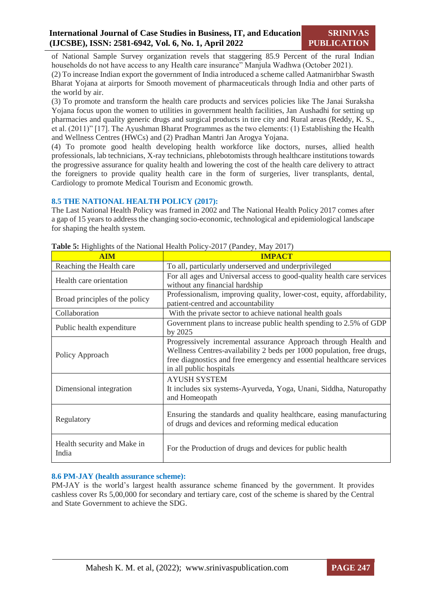of National Sample Survey organization revels that staggering 85.9 Percent of the rural Indian households do not have access to any Health care insurance" Manjula Wadhwa (October 2021).

(2) To increase Indian export the government of India introduced a scheme called Aatmanirbhar Swasth Bharat Yojana at airports for Smooth movement of pharmaceuticals through India and other parts of the world by air.

(3) To promote and transform the health care products and services policies like The Janai Suraksha Yojana focus upon the women to utilities in government health facilities, Jan Aushadhi for setting up pharmacies and quality generic drugs and surgical products in tire city and Rural areas (Reddy, K. S., et al. (2011)" [17]. The Ayushman Bharat Programmes as the two elements: (1) Establishing the Health and Wellness Centres (HWCs) and (2) Pradhan Mantri Jan Arogya Yojana.

(4) To promote good health developing health workforce like doctors, nurses, allied health professionals, lab technicians, X-ray technicians, phlebotomists through healthcare institutions towards the progressive assurance for quality health and lowering the cost of the health care delivery to attract the foreigners to provide quality health care in the form of surgeries, liver transplants, dental, Cardiology to promote Medical Tourism and Economic growth.

# **8.5 THE NATIONAL HEALTH POLICY (2017):**

The Last National Health Policy was framed in 2002 and The National Health Policy 2017 comes after a gap of 15 years to address the changing socio-economic, technological and epidemiological landscape for shaping the health system.

| <b>AIM</b>                           | <b>IMPACT</b>                                                                                                                                                                                                                                |
|--------------------------------------|----------------------------------------------------------------------------------------------------------------------------------------------------------------------------------------------------------------------------------------------|
| Reaching the Health care             | To all, particularly underserved and underprivileged                                                                                                                                                                                         |
| Health care orientation              | For all ages and Universal access to good-quality health care services<br>without any financial hardship                                                                                                                                     |
| Broad principles of the policy       | Professionalism, improving quality, lower-cost, equity, affordability,<br>patient-centred and accountability                                                                                                                                 |
| Collaboration                        | With the private sector to achieve national health goals                                                                                                                                                                                     |
| Public health expenditure            | Government plans to increase public health spending to 2.5% of GDP<br>by 2025                                                                                                                                                                |
| Policy Approach                      | Progressively incremental assurance Approach through Health and<br>Wellness Centres-availability 2 beds per 1000 population, free drugs,<br>free diagnostics and free emergency and essential healthcare services<br>in all public hospitals |
| Dimensional integration              | <b>AYUSH SYSTEM</b><br>It includes six systems-Ayurveda, Yoga, Unani, Siddha, Naturopathy<br>and Homeopath                                                                                                                                   |
| Regulatory                           | Ensuring the standards and quality healthcare, easing manufacturing<br>of drugs and devices and reforming medical education                                                                                                                  |
| Health security and Make in<br>India | For the Production of drugs and devices for public health                                                                                                                                                                                    |

**Table 5:** Highlights of the National Health Policy-2017 (Pandey, May 2017)

# **8.6 PM-JAY (health assurance scheme):**

PM-JAY is the world's largest health assurance scheme financed by the government. It provides cashless cover Rs 5,00,000 for secondary and tertiary care, cost of the scheme is shared by the Central and State Government to achieve the SDG.

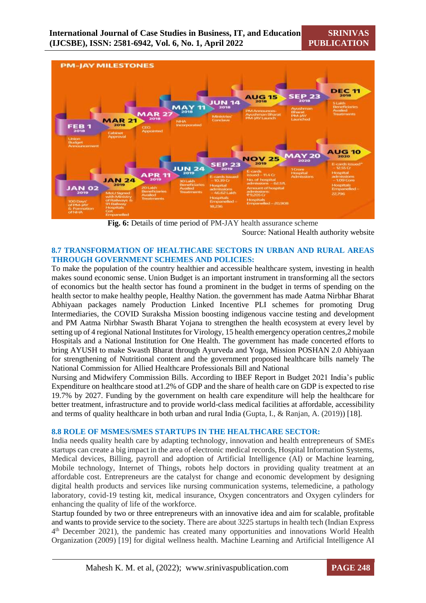

**Fig. 6:** Details of time period of PM-JAY health assurance scheme Source: National Health authority website

# **8.7 TRANSFORMATION OF HEALTHCARE SECTORS IN URBAN AND RURAL AREAS THROUGH GOVERNMENT SCHEMES AND POLICIES:**

To make the population of the country healthier and accessible healthcare system, investing in health makes sound economic sense. Union Budget is an important instrument in transforming all the sectors of economics but the health sector has found a prominent in the budget in terms of spending on the health sector to make healthy people, Healthy Nation. the government has made Aatma Nirbhar Bharat Abhiyaan packages namely Production Linked Incentive PLI schemes for promoting Drug Intermediaries, the COVID Suraksha Mission boosting indigenous vaccine testing and development and PM Aatma Nirbhar Swasth Bharat Yojana to strengthen the health ecosystem at every level by setting up of 4 regional National Institutes for Virology, 15 health emergency operation centres,2 mobile Hospitals and a National Institution for One Health. The government has made concerted efforts to bring AYUSH to make Swasth Bharat through Ayurveda and Yoga, Mission POSHAN 2.0 Abhiyaan for strengthening of Nutritional content and the government proposed healthcare bills namely The National Commission for Allied Healthcare Professionals Bill and National

Nursing and Midwifery Commission Bills. According to IBEF Report in Budget 2021 India's public Expenditure on healthcare stood at1.2% of GDP and the share of health care on GDP is expected to rise 19.7% by 2027. Funding by the government on health care expenditure will help the healthcare for better treatment, infrastructure and to provide world-class medical facilities at affordable, accessibility and terms of quality healthcare in both urban and rural India (Gupta, I., & Ranjan, A. (2019)) [18].

# **8.8 ROLE OF MSMES/SMES STARTUPS IN THE HEALTHCARE SECTOR:**

India needs quality health care by adapting technology, innovation and health entrepreneurs of SMEs startups can create a big impact in the area of electronic medical records, Hospital Information Systems, Medical devices, Billing, payroll and adoption of Artificial Intelligence (AI) or Machine learning, Mobile technology, Internet of Things, robots help doctors in providing quality treatment at an affordable cost. Entrepreneurs are the catalyst for change and economic development by designing digital health products and services like nursing communication systems, telemedicine, a pathology laboratory, covid-19 testing kit, medical insurance, Oxygen concentrators and Oxygen cylinders for enhancing the quality of life of the workforce.

Startup founded by two or three entrepreneurs with an innovative idea and aim for scalable, profitable and wants to provide service to the society. There are about 3225 startups in health tech (Indian Express 4<sup>th</sup> December 2021), the pandemic has created many opportunities and innovations World Health Organization (2009) [19] for digital wellness health. Machine Learning and Artificial Intelligence AI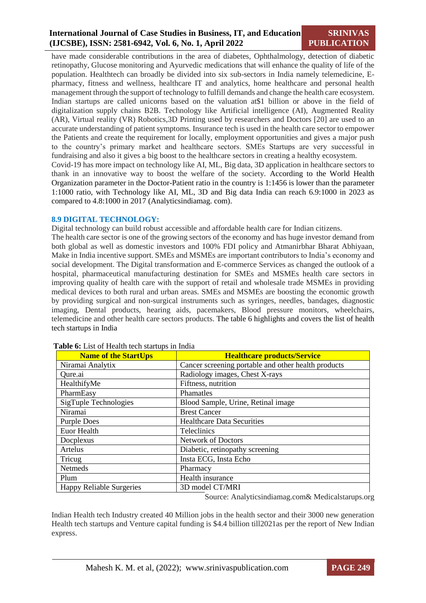# **International Journal of Case Studies in Business, IT, and Education (IJCSBE), ISSN: 2581-6942, Vol. 6, No. 1, April 2022**

have made considerable contributions in the area of diabetes, Ophthalmology, detection of diabetic retinopathy, Glucose monitoring and Ayurvedic medications that will enhance the quality of life of the population. Healthtech can broadly be divided into six sub-sectors in India namely telemedicine, Epharmacy, fitness and wellness, healthcare IT and analytics, home healthcare and personal health management through the support of technology to fulfill demands and change the health care ecosystem. Indian startups are called unicorns based on the valuation at\$1 billion or above in the field of digitalization supply chains B2B. Technology like Artificial intelligence (AI), Augmented Reality (AR), Virtual reality (VR) Robotics,3D Printing used by researchers and Doctors [20] are used to an accurate understanding of patient symptoms. Insurance tech is used in the health care sector to empower the Patients and create the requirement for locally, employment opportunities and gives a major push to the country's primary market and healthcare sectors. SMEs Startups are very successful in fundraising and also it gives a big boost to the healthcare sectors in creating a healthy ecosystem. Covid-19 has more impact on technology like AI, ML, Big data, 3D application in healthcare sectors to thank in an innovative way to boost the welfare of the society. According to the World Health

Organization parameter in the Doctor-Patient ratio in the country is 1:1456 is lower than the parameter 1:1000 ratio, with Technology like AI, ML, 3D and Big data India can reach 6.9:1000 in 2023 as compared to 4.8:1000 in 2017 (Analyticsindiamag. com).

# **8.9 DIGITAL TECHNOLOGY:**

Digital technology can build robust accessible and affordable health care for Indian citizens.

The health care sector is one of the growing sectors of the economy and has huge investor demand from both global as well as domestic investors and 100% FDI policy and Atmanirbhar Bharat Abhiyaan, Make in India incentive support. SMEs and MSMEs are important contributors to India's economy and social development. The Digital transformation and E-commerce Services as changed the outlook of a hospital, pharmaceutical manufacturing destination for SMEs and MSMEs health care sectors in improving quality of health care with the support of retail and wholesale trade MSMEs in providing medical devices to both rural and urban areas. SMEs and MSMEs are boosting the economic growth by providing surgical and non-surgical instruments such as syringes, needles, bandages, diagnostic imaging, Dental products, hearing aids, pacemakers, Blood pressure monitors, wheelchairs, telemedicine and other health care sectors products. The table 6 highlights and covers the list of health tech startups in India

| <b>Name of the StartUps</b>     | <b>Healthcare products/Service</b>                  |
|---------------------------------|-----------------------------------------------------|
| Niramai Analytix                | Cancer screening portable and other health products |
| Qure.ai                         | Radiology images, Chest X-rays                      |
| HealthifyMe                     | Fiftness, nutrition                                 |
| PharmEasy                       | Phamatles                                           |
| SigTuple Technologies           | Blood Sample, Urine, Retinal image                  |
| Niramai                         | <b>Brest Cancer</b>                                 |
| <b>Purple Does</b>              | <b>Healthcare Data Securities</b>                   |
| Euor Health                     | <b>Teleclinics</b>                                  |
| Docplexus                       | <b>Network of Doctors</b>                           |
| Artelus                         | Diabetic, retinopathy screening                     |
| Tricug                          | Insta ECG, Insta Echo                               |
| <b>Netmeds</b>                  | Pharmacy                                            |
| Plum                            | Health insurance                                    |
| <b>Happy Reliable Surgeries</b> | 3D model CT/MRI                                     |

#### **Table 6:** List of Health tech startups in India

Source: Analyticsindiamag.com& Medicalstarups.org

Indian Health tech Industry created 40 Million jobs in the health sector and their 3000 new generation Health tech startups and Venture capital funding is \$4.4 billion till2021as per the report of New Indian express.

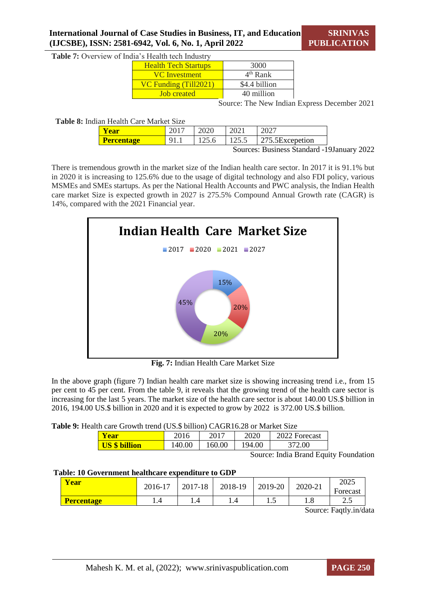**Table 7:** Overview of India's Health tech Industry

| $\ldots$ $\ldots$ $\ldots$  |               |
|-----------------------------|---------------|
| <b>Health Tech Startups</b> | 3000          |
| <b>VC</b> Investment        | $4th$ Rank    |
| VC Funding (Till2021)       | \$4.4 billion |
| <b>Job</b> created          | 40 million    |
| $-$                         |               |

Source: The New Indian Express December 2021

 **Table 8:** Indian Health Care Market Size

| <b>Year</b>                   |  |  |  |                 |  |  |
|-------------------------------|--|--|--|-----------------|--|--|
| <b>Percentage</b>             |  |  |  | 275.5Excepetion |  |  |
| Cources: Rusiness Standard 10 |  |  |  |                 |  |  |

Sources: Business Standard -19January 2022

There is tremendous growth in the market size of the Indian health care sector. In 2017 it is 91.1% but in 2020 it is increasing to 125.6% due to the usage of digital technology and also FDI policy, various MSMEs and SMEs startups. As per the National Health Accounts and PWC analysis, the Indian Health care market Size is expected growth in 2027 is 275.5% Compound Annual Growth rate (CAGR) is 14%, compared with the 2021 Financial year.



**Fig. 7:** Indian Health Care Market Size

In the above graph (figure 7) Indian health care market size is showing increasing trend i.e., from 15 per cent to 45 per cent. From the table 9, it reveals that the growing trend of the health care sector is increasing for the last 5 years. The market size of the health care sector is about 140.00 US.\$ billion in 2016, 194.00 US.\$ billion in 2020 and it is expected to grow by 2022 is 372.00 US.\$ billion.

**Table 9:** Health care Growth trend (US.\$ billion) CAGR16.28 or Market Size

| Year                 | 2016   | 2017   | 2020   | 2022 Forecast |
|----------------------|--------|--------|--------|---------------|
| <b>US \$ billion</b> | 140.00 | 160.00 | 194.00 | 372.00        |

Source: India Brand Equity Foundation

#### **Table: 10 Government healthcare expenditure to GDP**

| Year              | 2016-17 | 2017-18 | 2018-19 | 2019-20 | 2020-21 | 2025<br>$\blacksquare$<br>Forecast |
|-------------------|---------|---------|---------|---------|---------|------------------------------------|
| <b>Percentage</b> | ⊥.−     |         |         | ر 1     |         | ن ک                                |

Source: Faqtly.in/data

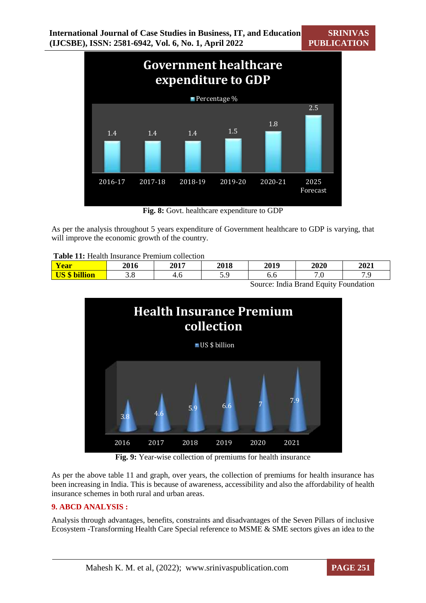**SRINIVAS PUBLICATION**



**Fig. 8:** Govt. healthcare expenditure to GDP

As per the analysis throughout 5 years expenditure of Government healthcare to GDP is varying, that will improve the economic growth of the country.

**Table 11:** Health Insurance Premium collection

| Vear                | 2016 | 2017 | 2018      | 2019 | 2020                 | 2021         |
|---------------------|------|------|-----------|------|----------------------|--------------|
| <b>illion</b><br>◡◡ | ◡.◡  | 4.U  | - -<br>◡. | 0.0  | $\overline{ }$<br>.v | −<br>$\cdot$ |
|                     |      |      |           |      |                      |              |

Source: India Brand Equity Foundation



**Fig. 9:** Year-wise collection of premiums for health insurance

As per the above table 11 and graph, over years, the collection of premiums for health insurance has been increasing in India. This is because of awareness, accessibility and also the affordability of health insurance schemes in both rural and urban areas.

# **9. ABCD ANALYSIS :**

Analysis through advantages, benefits, constraints and disadvantages of the Seven Pillars of inclusive Ecosystem -Transforming Health Care Special reference to MSME & SME sectors gives an idea to the

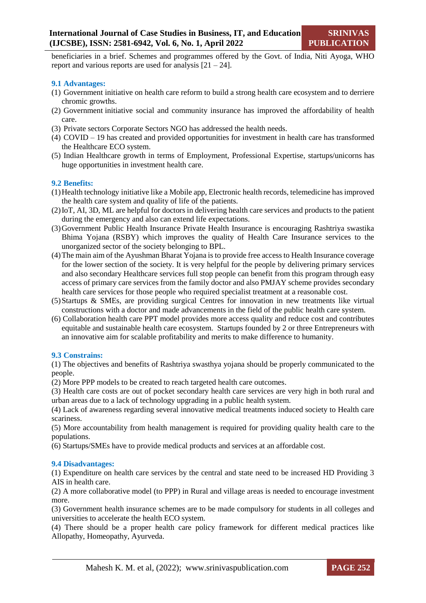beneficiaries in a brief. Schemes and programmes offered by the Govt. of India, Niti Ayoga, WHO report and various reports are used for analysis  $[21 - 24]$ .

#### **9.1 Advantages:**

- (1) Government initiative on health care reform to build a strong health care ecosystem and to derriere chromic growths.
- (2) Government initiative social and community insurance has improved the affordability of health care.
- (3) Private sectors Corporate Sectors NGO has addressed the health needs.
- (4) COVID 19 has created and provided opportunities for investment in health care has transformed the Healthcare ECO system.
- (5) Indian Healthcare growth in terms of Employment, Professional Expertise, startups/unicorns has huge opportunities in investment health care.

# **9.2 Benefits:**

- (1)Health technology initiative like a Mobile app, Electronic health records, telemedicine has improved the health care system and quality of life of the patients.
- (2)IoT, AI, 3D, ML are helpful for doctors in delivering health care services and products to the patient during the emergency and also can extend life expectations.
- (3)Government Public Health Insurance Private Health Insurance is encouraging Rashtriya swastika Bhima Yojana (RSBY) which improves the quality of Health Care Insurance services to the unorganized sector of the society belonging to BPL.
- (4)The main aim of the Ayushman Bharat Yojana is to provide free access to Health Insurance coverage for the lower section of the society. It is very helpful for the people by delivering primary services and also secondary Healthcare services full stop people can benefit from this program through easy access of primary care services from the family doctor and also PMJAY scheme provides secondary health care services for those people who required specialist treatment at a reasonable cost.
- (5)Startups & SMEs, are providing surgical Centres for innovation in new treatments like virtual constructions with a doctor and made advancements in the field of the public health care system.
- (6) Collaboration health care PPT model provides more access quality and reduce cost and contributes equitable and sustainable health care ecosystem. Startups founded by 2 or three Entrepreneurs with an innovative aim for scalable profitability and merits to make difference to humanity.

# **9.3 Constrains:**

(1) The objectives and benefits of Rashtriya swasthya yojana should be properly communicated to the people.

(2) More PPP models to be created to reach targeted health care outcomes.

(3) Health care costs are out of pocket secondary health care services are very high in both rural and urban areas due to a lack of technology upgrading in a public health system.

(4) Lack of awareness regarding several innovative medical treatments induced society to Health care scariness.

(5) More accountability from health management is required for providing quality health care to the populations.

(6) Startups/SMEs have to provide medical products and services at an affordable cost.

#### **9.4 Disadvantages:**

(1) Expenditure on health care services by the central and state need to be increased HD Providing 3 AIS in health care.

(2) A more collaborative model (to PPP) in Rural and village areas is needed to encourage investment more.

(3) Government health insurance schemes are to be made compulsory for students in all colleges and universities to accelerate the health ECO system.

(4) There should be a proper health care policy framework for different medical practices like Allopathy, Homeopathy, Ayurveda.

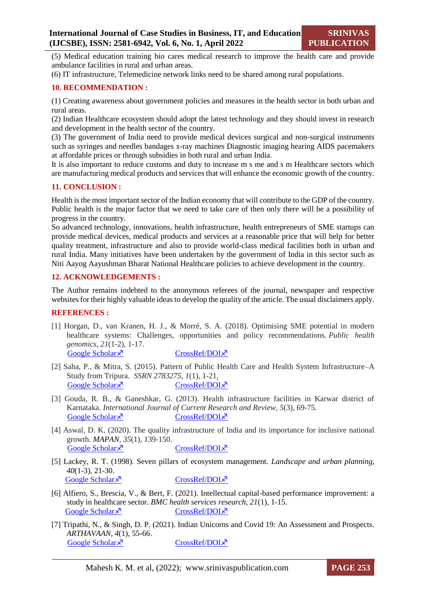(5) Medical education training bio cares medical research to improve the health care and provide ambulance facilities in rural and urban areas.

(6) IT infrastructure, Telemedicine network links need to be shared among rural populations.

#### **10. RECOMMENDATION :**

(1) Creating awareness about government policies and measures in the health sector in both urban and rural areas.

(2) Indian Healthcare ecosystem should adopt the latest technology and they should invest in research and development in the health sector of the country.

(3) The government of India need to provide medical devices surgical and non-surgical instruments such as syringes and needles bandages x-ray machines Diagnostic imaging hearing AIDS pacemakers at affordable prices or through subsidies in both rural and urban India.

It is also important to reduce customs and duty to increase m s me and s m Healthcare sectors which are manufacturing medical products and services that will enhance the economic growth of the country.

# **11. CONCLUSION :**

Health is the most important sector of the Indian economy that will contribute to the GDP of the country. Public health is the major factor that we need to take care of then only there will be a possibility of progress in the country.

So advanced technology, innovations, health infrastructure, health entrepreneurs of SME startups can provide medical devices, medical products and services at a reasonable price that will help for better quality treatment, infrastructure and also to provide world-class medical facilities both in urban and rural India. Many initiatives have been undertaken by the government of India in this sector such as Niti Aayog Aayushman Bharat National Healthcare policies to achieve development in the country.

# **12. ACKNOWLEDGEMENTS :**

The Author remains indebted to the anonymous referees of the journal, newspaper and respective websites for their highly valuable ideas to develop the quality of the article. The usual disclaimers apply.

#### **REFERENCES :**

- [1] Horgan, D., van Kranen, H. J., & Morré, S. A. (2018). Optimising SME potential in modern healthcare systems: Challenges, opportunities and policy recommendations. *Public health genomics*, *21*(1-2), 1-17. Google Scholar  $\lambda$  CrossRef/DOI $\lambda$
- [2] Saha, P., & Mitra, S. (2015). Pattern of Public Health Care and Health System Infrastructure–A Study from Tripura. *SSRN 2783275*, *1*(1), 1-21. Google Scholar  $\lambda$  CrossRef/DOI $\lambda$
- [3] Gouda, R. B., & Ganeshkar, G. (2013). Health infrastructure facilities in Karwar district of Karnataka. *International Journal of Current Research and Review*, *5*(3), 69-75. Google Scholar  $\times$  CrossRef/DOI $\times$
- [4] Aswal, D. K. (2020). The quality infrastructure of India and its importance for inclusive national growth. *MAPAN, 35*(1), 139-150. Google Scholar  $\times$  CrossRef/DOI $\times$
- [5] Lackey, R. T. (1998). Seven pillars of ecosystem management. *Landscape and urban planning*, *40*(1-3), 21-30. Google Scholar  $\sqrt{S}$  CrossRef/DOI $\sqrt{S}$
- [6] Alfiero, S., Brescia, V., & Bert, F. (2021). Intellectual capital-based performance improvement: a study in healthcare sector. *BMC health services research, 21*(1), 1-15. Google Scholar X<sup>2</sup> CrossRef/DOIX<sup>2</sup>
- [7] Tripathi, N., & Singh, D. P. (2021). Indian Unicorns and Covid 19: An Assessment and Prospects. *ARTHAVAAN, 4*(1), 55-66. Google Scholar  $\times$  CrossRef/DOI $\times$

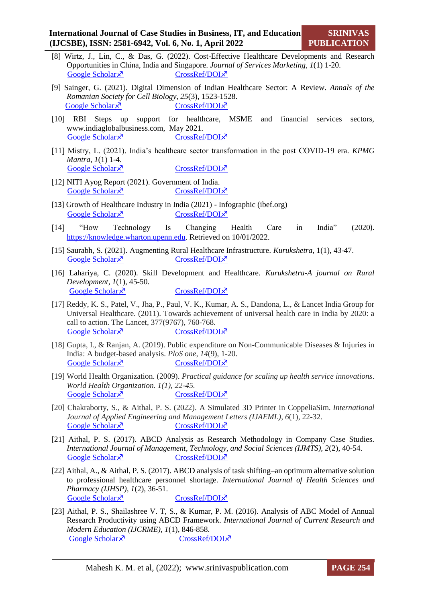- [8] Wirtz, J., Lin, C., & Das, G. (2022). Cost-Effective Healthcare Developments and Research Opportunities in China, India and Singapore. *Journal of Services Marketing, 1*(1) 1-20. Google Scholar  $\times$  CrossRef/DOI $\times$
- [9] Sainger, G. (2021). Digital Dimension of Indian Healthcare Sector: A Review. *Annals of the Romanian Society for Cell Biology, 25*(3), 1523-1528. Google Scholar  $\lambda$  CrossRef/DOI $\lambda$
- [10] RBI Steps up support for healthcare, MSME and financial services sectors, [www.indiaglobalbusiness.com,](http://www.indiaglobalbusiness.com/) May 2021. Google Scholar  $\bar{X}$  CrossRef/DOI $\bar{X}$
- [11] Mistry, L. (2021). India's healthcare sector transformation in the post COVID-19 era. *KPMG Mantra, 1*(1) 1-4. Google Scholar  $\lambda$  CrossRef/DOI $\lambda$
- [12] NITI Ayog Report (2021). Government of India. Google Scholar  $\times$  CrossRef/DOI $\times$
- [13] [Growth of Healthcare Industry in India \(2021\) -](https://www.ibef.org/industry/healthcare-india/infographic) Infographic (ibef.org) Google Scholar  $\times$  CrossRef/DOI $\times$
- [14] ["How Technology Is Changing Health Care in India" \(](https://knowledge.wharton.upenn.edu/article/technology-changing-health-care-india/)2020). [https://knowledge.wharton.upenn.edu.](https://knowledge.wharton.upenn.edu/) Retrieved on 10/01/2022.
- [15] Saurabh, S. (2021). Augmenting Rural Healthcare Infrastructure. *Kurukshetra*, 1(1), 43-47. Google Scholar  $\lambda$  CrossRef/DOI $\lambda$
- [16] Lahariya, C. (2020). Skill Development and Healthcare. *Kurukshetra-A journal on Rural Development, 1*(1), 45-50. Google Scholar  $\times$  CrossRef/DOI $\times$
- [17] Reddy, K. S., Patel, V., Jha, P., Paul, V. K., Kumar, A. S., Dandona, L., & Lancet India Group for Universal Healthcare. (2011). Towards achievement of universal health care in India by 2020: a call to action. The Lancet, 377(9767), 760-768. Google Scholar  $\times$  CrossRef/DOI $\times$
- [18] Gupta, I., & Ranjan, A. (2019). Public expenditure on Non-Communicable Diseases & Injuries in India: A budget-based analysis. *PloS one, 14*(9), 1-20. Google Scholar  $\sqrt{2}$  CrossRef/DOI $\sqrt{2}$
- [19] World Health Organization. (2009). *Practical guidance for scaling up health service innovations*. *World Health Organization. 1(1), 22-45.* Google Scholar  $\lambda$  CrossRef/DOI $\lambda$
- [20] Chakraborty, S., & Aithal, P. S. (2022). A Simulated 3D Printer in CoppeliaSim. *International Journal of Applied Engineering and Management Letters (IJAEML)*, *6*(1), 22-32. Google Scholar  $\sqrt{ }$  CrossRef/DOI $\sqrt{ }$
- [21] Aithal, P. S. (2017). ABCD Analysis as Research Methodology in Company Case Studies. *International Journal of Management, Technology, and Social Sciences (IJMTS), 2*(2), 40-54. Google Scholar  $\times$  CrossRef/DOI $\times$
- [22] Aithal, A., & Aithal, P. S. (2017). ABCD analysis of task shifting–an optimum alternative solution to professional healthcare personnel shortage. *International Journal of Health Sciences and Pharmacy (IJHSP), 1*(2), 36-51. Google Scholar  $\sqrt{ }$  CrossRef/DOI $\sqrt{ }$
- [23] Aithal, P. S., Shailashree V. T, S., & Kumar, P. M. (2016). Analysis of ABC Model of Annual Research Productivity using ABCD Framework. *International Journal of Current Research and Modern Education (IJCRME), 1*(1), 846-858. Google Scholar  $\times$  CrossRef/DOI $\times$